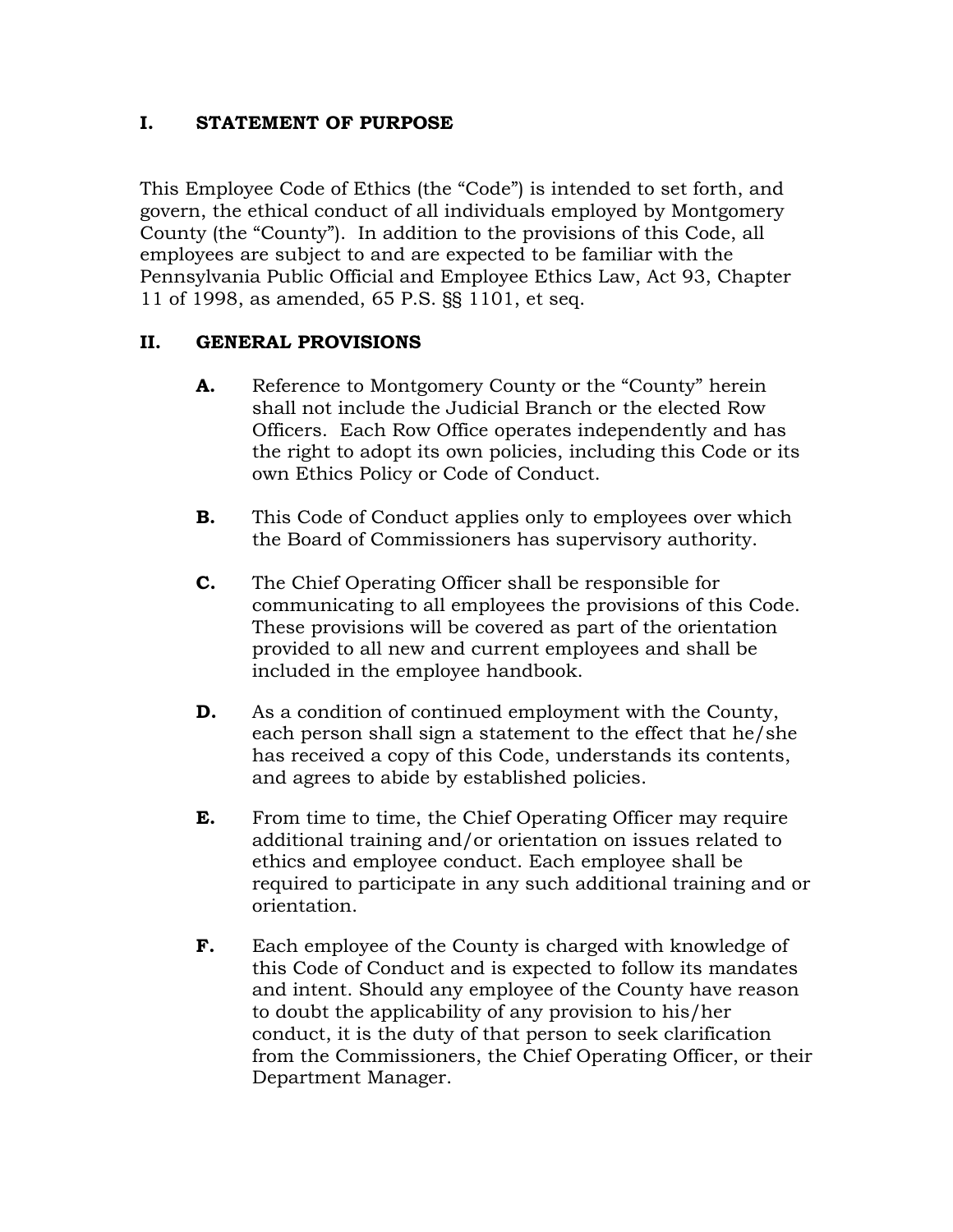### **I. STATEMENT OF PURPOSE**

This Employee Code of Ethics (the "Code") is intended to set forth, and govern, the ethical conduct of all individuals employed by Montgomery County (the "County"). In addition to the provisions of this Code, all employees are subject to and are expected to be familiar with the Pennsylvania Public Official and Employee Ethics Law, Act 93, Chapter 11 of 1998, as amended, 65 P.S. §§ 1101, et seq.

# **II. GENERAL PROVISIONS**

- **A.** Reference to Montgomery County or the "County" herein shall not include the Judicial Branch or the elected Row Officers. Each Row Office operates independently and has the right to adopt its own policies, including this Code or its own Ethics Policy or Code of Conduct.
- **B.** This Code of Conduct applies only to employees over which the Board of Commissioners has supervisory authority.
- **C.** The Chief Operating Officer shall be responsible for communicating to all employees the provisions of this Code. These provisions will be covered as part of the orientation provided to all new and current employees and shall be included in the employee handbook.
- **D.** As a condition of continued employment with the County, each person shall sign a statement to the effect that he/she has received a copy of this Code, understands its contents, and agrees to abide by established policies.
- **E.** From time to time, the Chief Operating Officer may require additional training and/or orientation on issues related to ethics and employee conduct. Each employee shall be required to participate in any such additional training and or orientation.
- **F.** Each employee of the County is charged with knowledge of this Code of Conduct and is expected to follow its mandates and intent. Should any employee of the County have reason to doubt the applicability of any provision to his/her conduct, it is the duty of that person to seek clarification from the Commissioners, the Chief Operating Officer, or their Department Manager.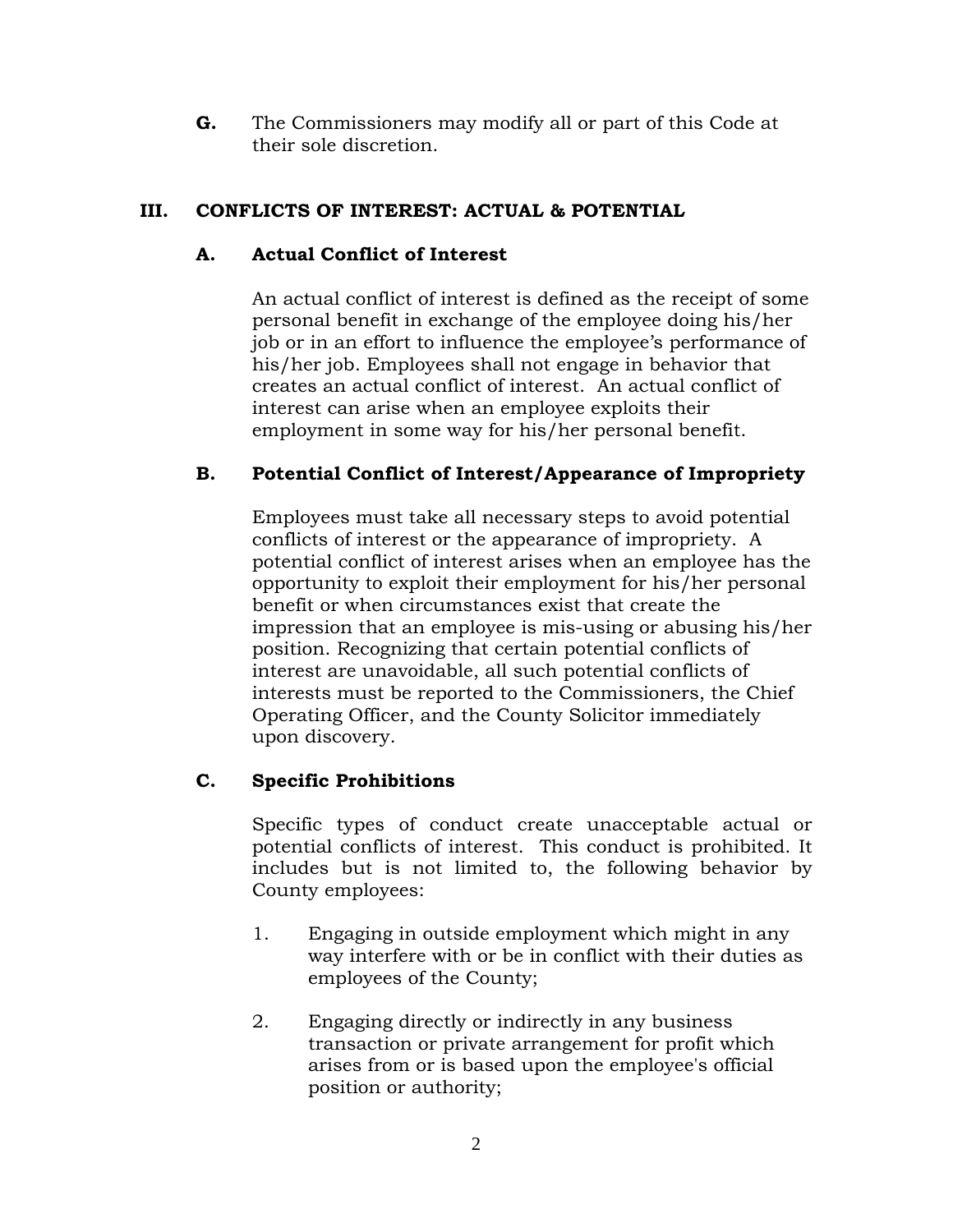**G.** The Commissioners may modify all or part of this Code at their sole discretion.

# **III. CONFLICTS OF INTEREST: ACTUAL & POTENTIAL**

# **A. Actual Conflict of Interest**

An actual conflict of interest is defined as the receipt of some personal benefit in exchange of the employee doing his/her job or in an effort to influence the employee's performance of his/her job. Employees shall not engage in behavior that creates an actual conflict of interest. An actual conflict of interest can arise when an employee exploits their employment in some way for his/her personal benefit.

# **B. Potential Conflict of Interest/Appearance of Impropriety**

Employees must take all necessary steps to avoid potential conflicts of interest or the appearance of impropriety. A potential conflict of interest arises when an employee has the opportunity to exploit their employment for his/her personal benefit or when circumstances exist that create the impression that an employee is mis-using or abusing his/her position. Recognizing that certain potential conflicts of interest are unavoidable, all such potential conflicts of interests must be reported to the Commissioners, the Chief Operating Officer, and the County Solicitor immediately upon discovery.

# **C. Specific Prohibitions**

Specific types of conduct create unacceptable actual or potential conflicts of interest. This conduct is prohibited. It includes but is not limited to, the following behavior by County employees:

- 1. Engaging in outside employment which might in any way interfere with or be in conflict with their duties as employees of the County;
- 2. Engaging directly or indirectly in any business transaction or private arrangement for profit which arises from or is based upon the employee's official position or authority;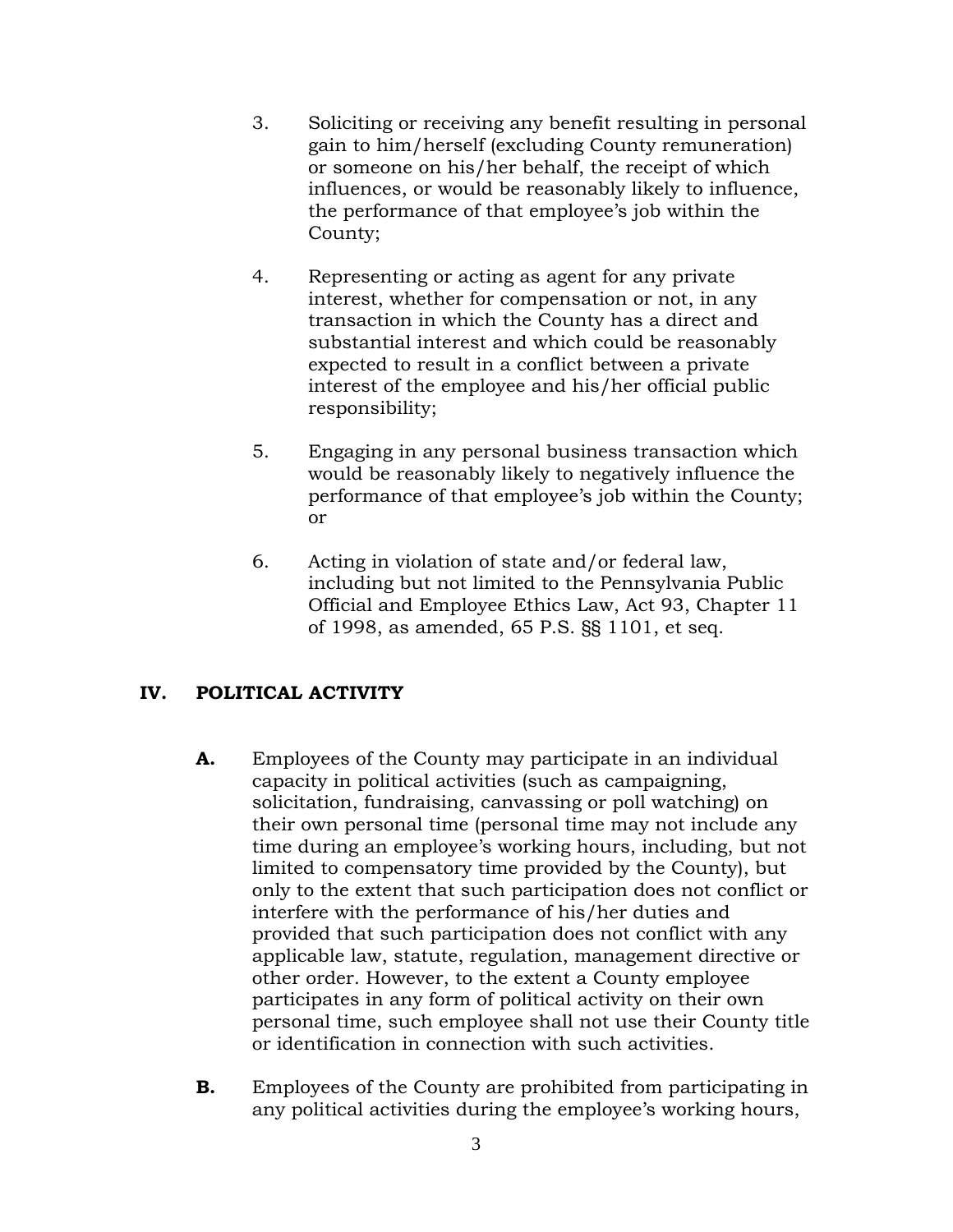- 3. Soliciting or receiving any benefit resulting in personal gain to him/herself (excluding County remuneration) or someone on his/her behalf, the receipt of which influences, or would be reasonably likely to influence, the performance of that employee's job within the County;
- 4. Representing or acting as agent for any private interest, whether for compensation or not, in any transaction in which the County has a direct and substantial interest and which could be reasonably expected to result in a conflict between a private interest of the employee and his/her official public responsibility;
- 5. Engaging in any personal business transaction which would be reasonably likely to negatively influence the performance of that employee's job within the County; or
- 6. Acting in violation of state and/or federal law, including but not limited to the Pennsylvania Public Official and Employee Ethics Law, Act 93, Chapter 11 of 1998, as amended, 65 P.S. §§ 1101, et seq.

# **IV. POLITICAL ACTIVITY**

- **A.** Employees of the County may participate in an individual capacity in political activities (such as campaigning, solicitation, fundraising, canvassing or poll watching) on their own personal time (personal time may not include any time during an employee's working hours, including, but not limited to compensatory time provided by the County), but only to the extent that such participation does not conflict or interfere with the performance of his/her duties and provided that such participation does not conflict with any applicable law, statute, regulation, management directive or other order. However, to the extent a County employee participates in any form of political activity on their own personal time, such employee shall not use their County title or identification in connection with such activities.
- **B.** Employees of the County are prohibited from participating in any political activities during the employee's working hours,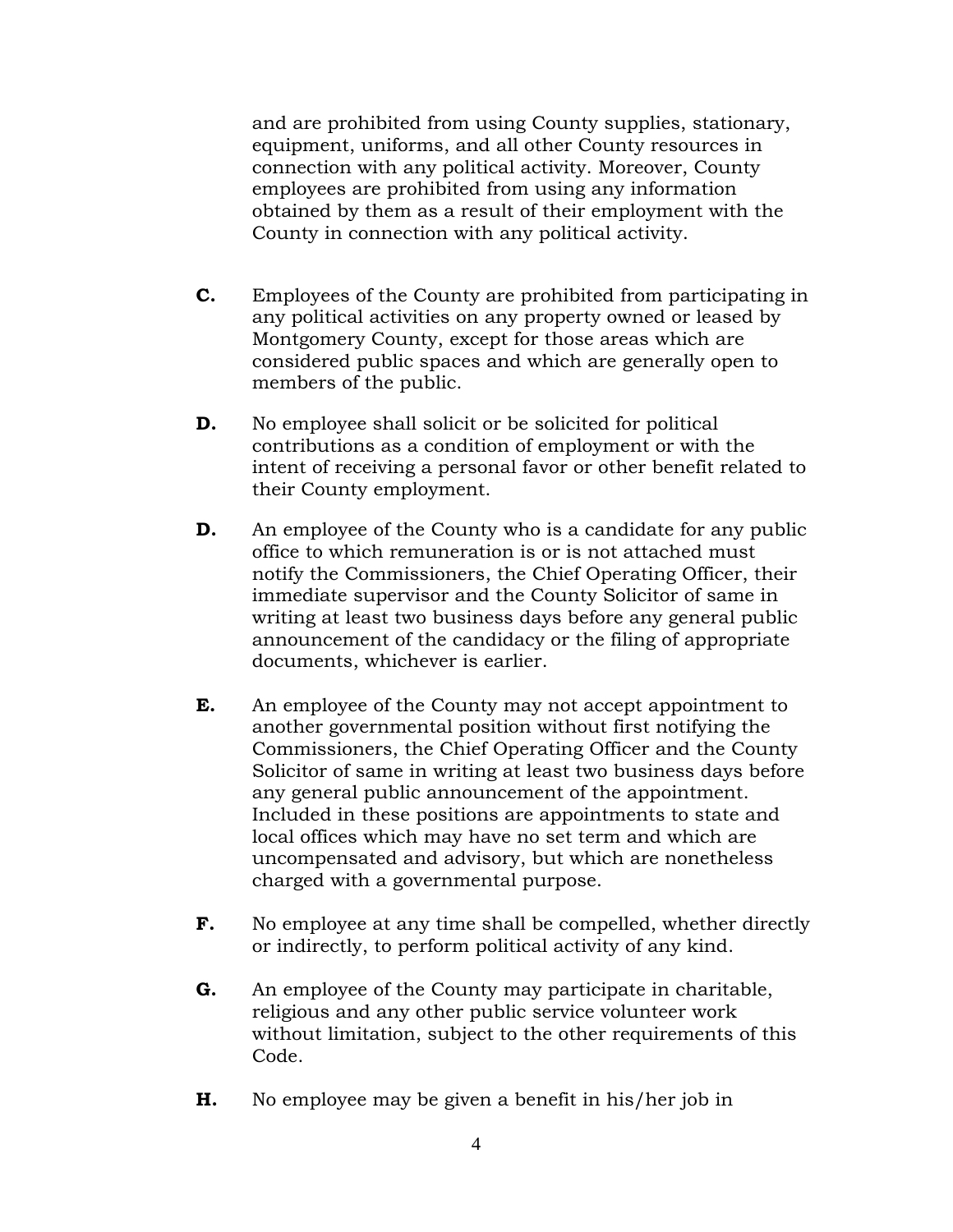and are prohibited from using County supplies, stationary, equipment, uniforms, and all other County resources in connection with any political activity. Moreover, County employees are prohibited from using any information obtained by them as a result of their employment with the County in connection with any political activity.

- **C.** Employees of the County are prohibited from participating in any political activities on any property owned or leased by Montgomery County, except for those areas which are considered public spaces and which are generally open to members of the public.
- **D.** No employee shall solicit or be solicited for political contributions as a condition of employment or with the intent of receiving a personal favor or other benefit related to their County employment.
- **D.** An employee of the County who is a candidate for any public office to which remuneration is or is not attached must notify the Commissioners, the Chief Operating Officer, their immediate supervisor and the County Solicitor of same in writing at least two business days before any general public announcement of the candidacy or the filing of appropriate documents, whichever is earlier.
- **E.** An employee of the County may not accept appointment to another governmental position without first notifying the Commissioners, the Chief Operating Officer and the County Solicitor of same in writing at least two business days before any general public announcement of the appointment. Included in these positions are appointments to state and local offices which may have no set term and which are uncompensated and advisory, but which are nonetheless charged with a governmental purpose.
- **F.** No employee at any time shall be compelled, whether directly or indirectly, to perform political activity of any kind.
- **G.** An employee of the County may participate in charitable, religious and any other public service volunteer work without limitation, subject to the other requirements of this Code.
- **H.** No employee may be given a benefit in his/her job in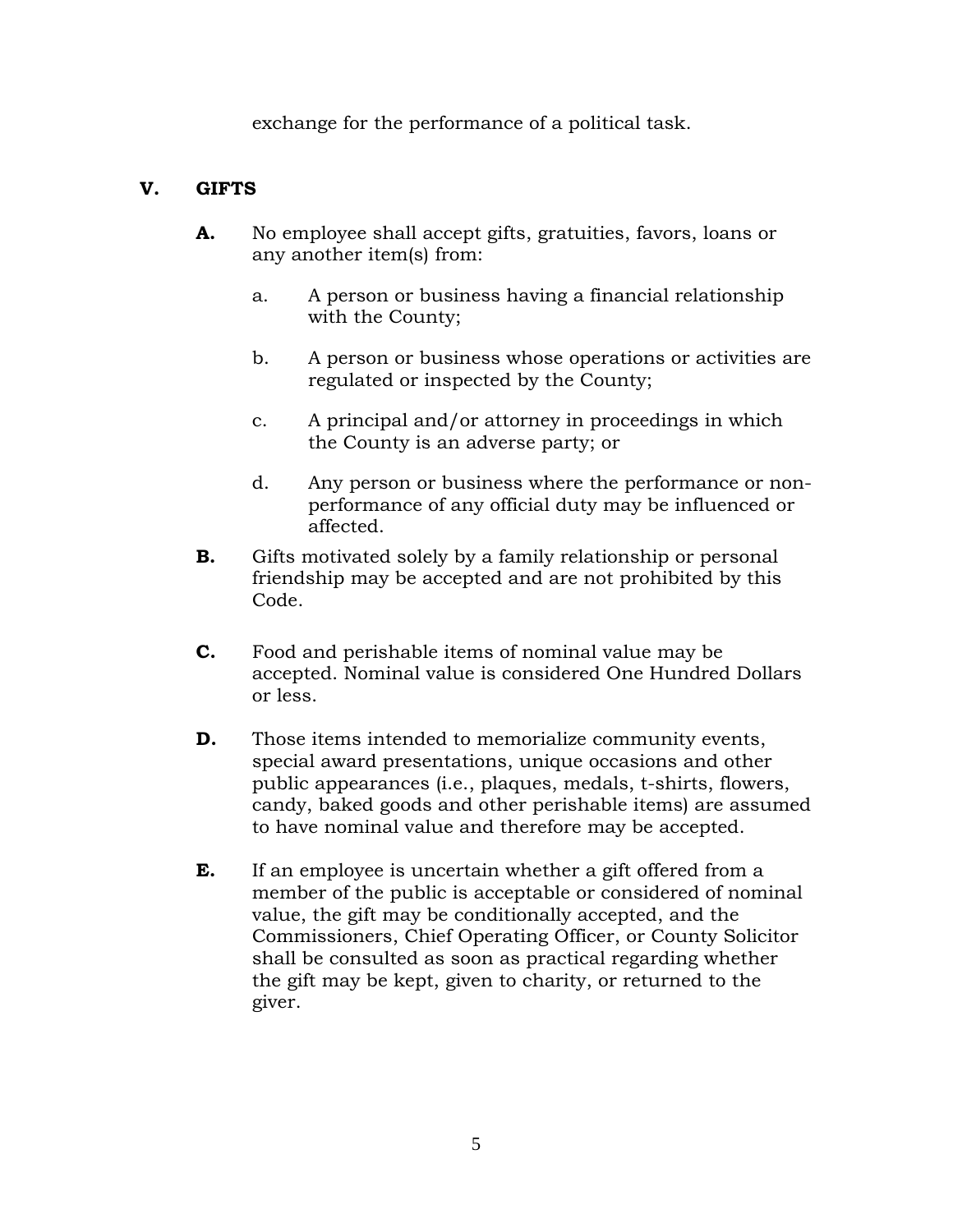exchange for the performance of a political task.

# **V. GIFTS**

- **A.** No employee shall accept gifts, gratuities, favors, loans or any another item(s) from:
	- a. A person or business having a financial relationship with the County;
	- b. A person or business whose operations or activities are regulated or inspected by the County;
	- c. A principal and/or attorney in proceedings in which the County is an adverse party; or
	- d. Any person or business where the performance or nonperformance of any official duty may be influenced or affected.
- **B.** Gifts motivated solely by a family relationship or personal friendship may be accepted and are not prohibited by this Code.
- **C.** Food and perishable items of nominal value may be accepted. Nominal value is considered One Hundred Dollars or less.
- **D.** Those items intended to memorialize community events, special award presentations, unique occasions and other public appearances (i.e., plaques, medals, t-shirts, flowers, candy, baked goods and other perishable items) are assumed to have nominal value and therefore may be accepted.
- **E.** If an employee is uncertain whether a gift offered from a member of the public is acceptable or considered of nominal value, the gift may be conditionally accepted, and the Commissioners, Chief Operating Officer, or County Solicitor shall be consulted as soon as practical regarding whether the gift may be kept, given to charity, or returned to the giver.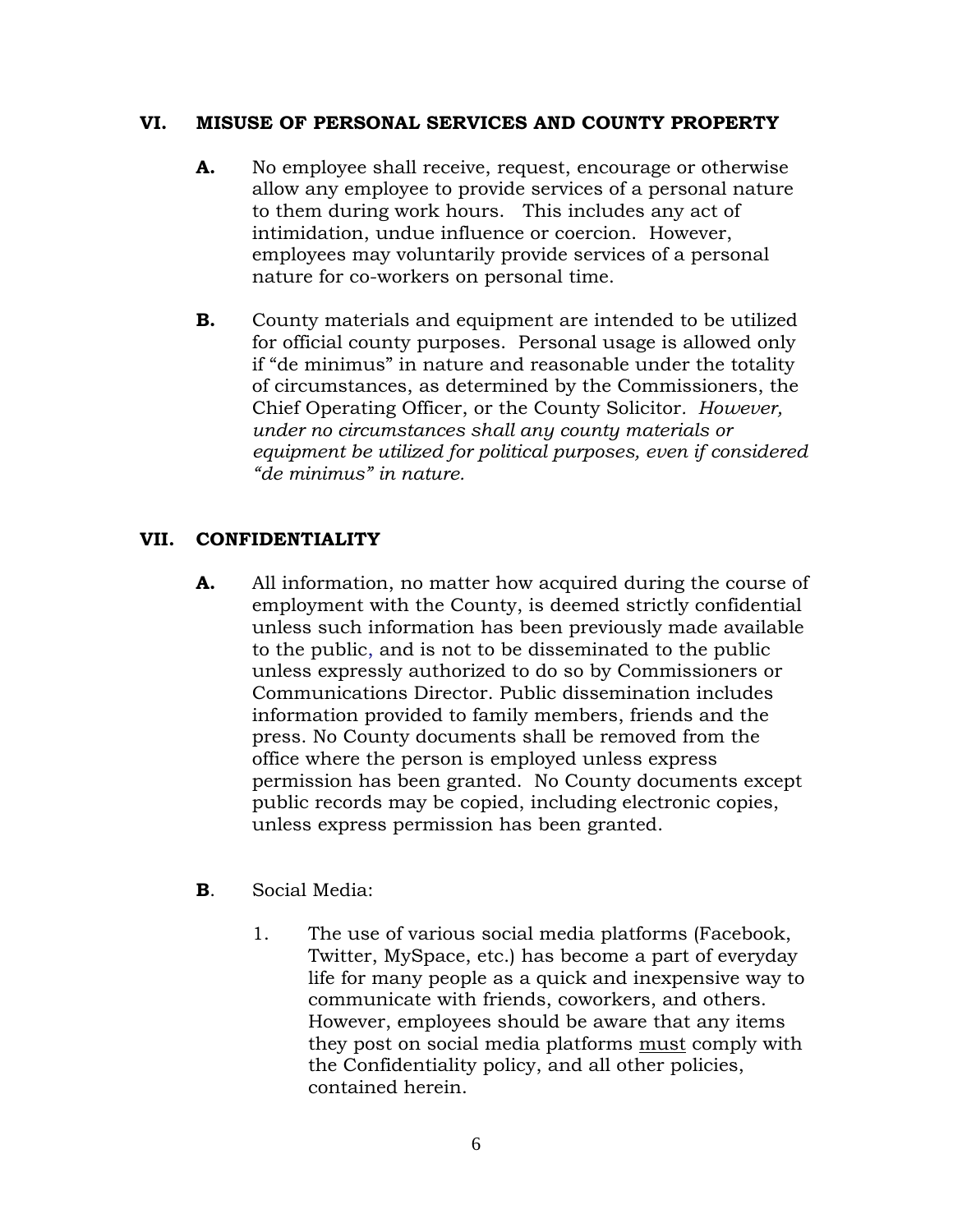#### **VI. MISUSE OF PERSONAL SERVICES AND COUNTY PROPERTY**

- **A.** No employee shall receive, request, encourage or otherwise allow any employee to provide services of a personal nature to them during work hours. This includes any act of intimidation, undue influence or coercion. However, employees may voluntarily provide services of a personal nature for co-workers on personal time.
- **B.** County materials and equipment are intended to be utilized for official county purposes. Personal usage is allowed only if "de minimus" in nature and reasonable under the totality of circumstances, as determined by the Commissioners, the Chief Operating Officer, or the County Solicitor*. However, under no circumstances shall any county materials or equipment be utilized for political purposes, even if considered "de minimus" in nature.*

### **VII. CONFIDENTIALITY**

- **A.** All information, no matter how acquired during the course of employment with the County, is deemed strictly confidential unless such information has been previously made available to the public, and is not to be disseminated to the public unless expressly authorized to do so by Commissioners or Communications Director. Public dissemination includes information provided to family members, friends and the press. No County documents shall be removed from the office where the person is employed unless express permission has been granted. No County documents except public records may be copied, including electronic copies, unless express permission has been granted.
- **B**. Social Media:
	- 1. The use of various social media platforms (Facebook, Twitter, MySpace, etc.) has become a part of everyday life for many people as a quick and inexpensive way to communicate with friends, coworkers, and others. However, employees should be aware that any items they post on social media platforms must comply with the Confidentiality policy, and all other policies, contained herein.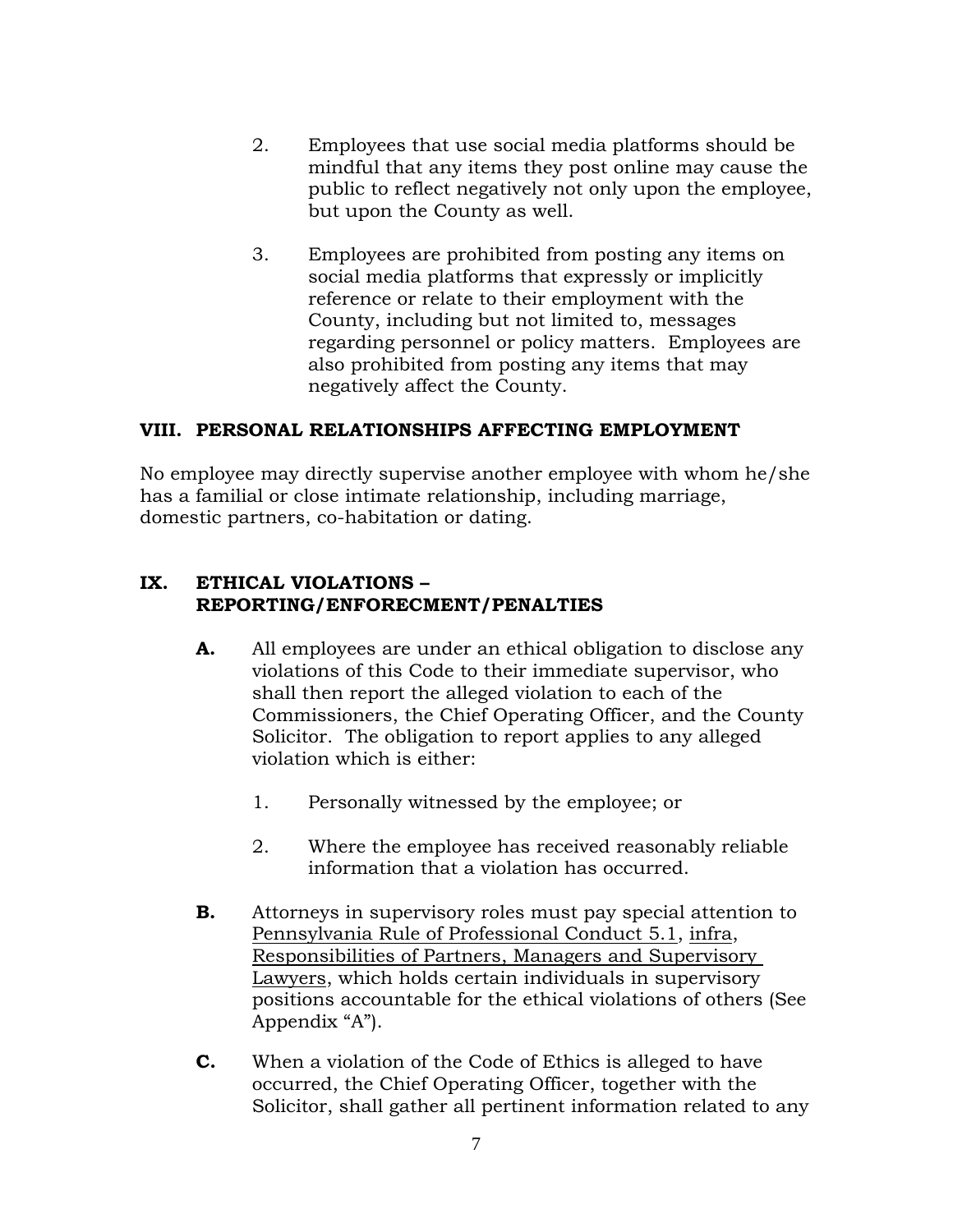- 2. Employees that use social media platforms should be mindful that any items they post online may cause the public to reflect negatively not only upon the employee, but upon the County as well.
- 3. Employees are prohibited from posting any items on social media platforms that expressly or implicitly reference or relate to their employment with the County, including but not limited to, messages regarding personnel or policy matters. Employees are also prohibited from posting any items that may negatively affect the County.

#### **VIII. PERSONAL RELATIONSHIPS AFFECTING EMPLOYMENT**

No employee may directly supervise another employee with whom he/she has a familial or close intimate relationship, including marriage, domestic partners, co-habitation or dating.

#### **IX. ETHICAL VIOLATIONS – REPORTING/ENFORECMENT/PENALTIES**

- **A.** All employees are under an ethical obligation to disclose any violations of this Code to their immediate supervisor, who shall then report the alleged violation to each of the Commissioners, the Chief Operating Officer, and the County Solicitor. The obligation to report applies to any alleged violation which is either:
	- 1. Personally witnessed by the employee; or
	- 2. Where the employee has received reasonably reliable information that a violation has occurred.
- **B.** Attorneys in supervisory roles must pay special attention to Pennsylvania Rule of Professional Conduct 5.1, infra, Responsibilities of Partners, Managers and Supervisory Lawyers, which holds certain individuals in supervisory positions accountable for the ethical violations of others (See Appendix "A").
- **C.** When a violation of the Code of Ethics is alleged to have occurred, the Chief Operating Officer, together with the Solicitor, shall gather all pertinent information related to any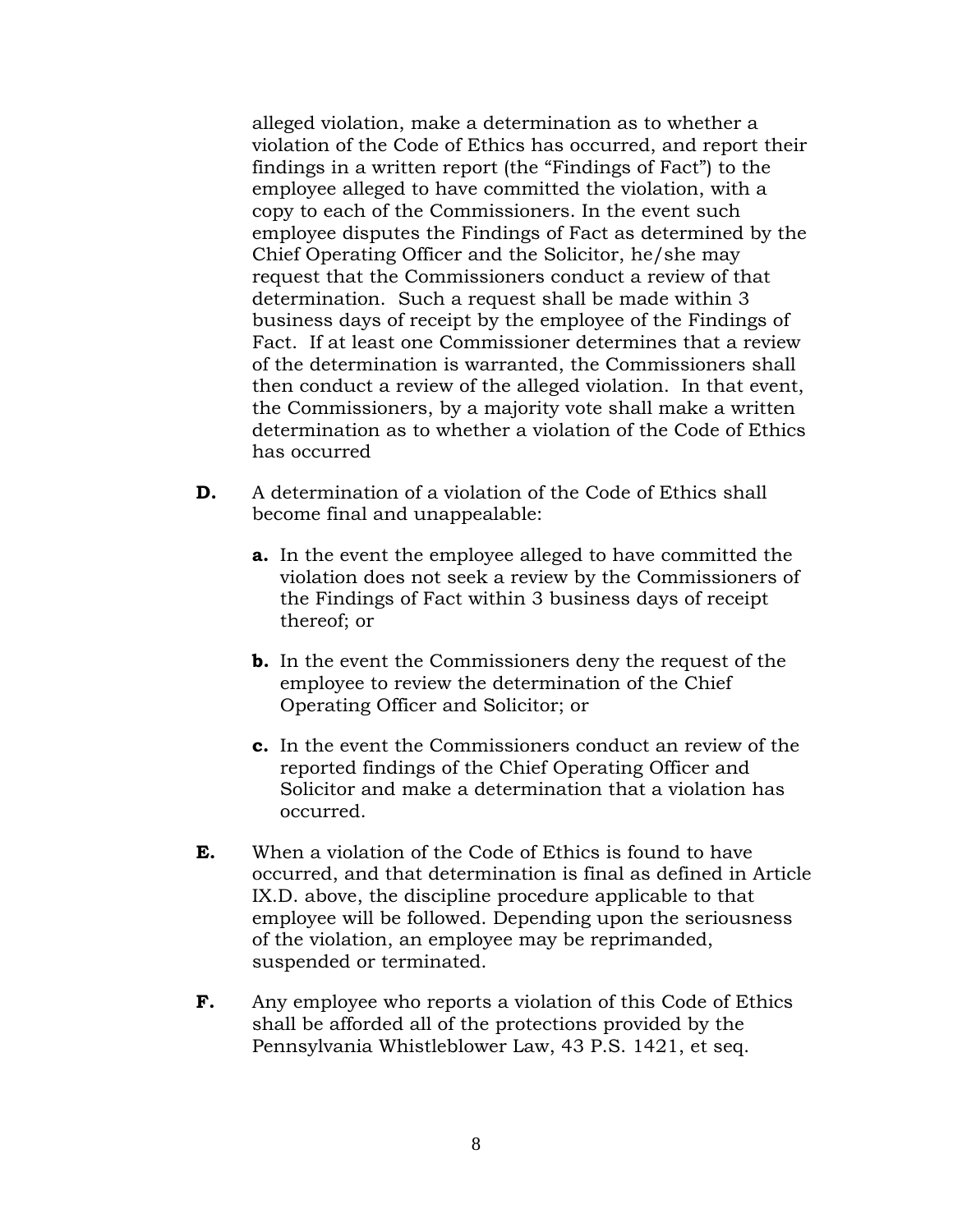alleged violation, make a determination as to whether a violation of the Code of Ethics has occurred, and report their findings in a written report (the "Findings of Fact") to the employee alleged to have committed the violation, with a copy to each of the Commissioners. In the event such employee disputes the Findings of Fact as determined by the Chief Operating Officer and the Solicitor, he/she may request that the Commissioners conduct a review of that determination. Such a request shall be made within 3 business days of receipt by the employee of the Findings of Fact. If at least one Commissioner determines that a review of the determination is warranted, the Commissioners shall then conduct a review of the alleged violation. In that event, the Commissioners, by a majority vote shall make a written determination as to whether a violation of the Code of Ethics has occurred

- **D.** A determination of a violation of the Code of Ethics shall become final and unappealable:
	- **a.** In the event the employee alleged to have committed the violation does not seek a review by the Commissioners of the Findings of Fact within 3 business days of receipt thereof; or
	- **b.** In the event the Commissioners deny the request of the employee to review the determination of the Chief Operating Officer and Solicitor; or
	- **c.** In the event the Commissioners conduct an review of the reported findings of the Chief Operating Officer and Solicitor and make a determination that a violation has occurred.
- **E.** When a violation of the Code of Ethics is found to have occurred, and that determination is final as defined in Article IX.D. above, the discipline procedure applicable to that employee will be followed. Depending upon the seriousness of the violation, an employee may be reprimanded, suspended or terminated.
- **F.** Any employee who reports a violation of this Code of Ethics shall be afforded all of the protections provided by the Pennsylvania Whistleblower Law, 43 P.S. 1421, et seq.